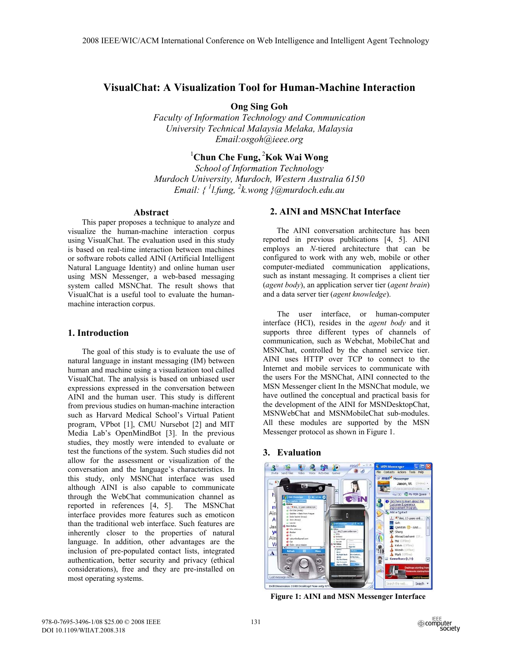# **VisualChat: A Visualization Tool for Human-Machine Interaction**

**Ong Sing Goh** 

*Faculty of Information Technology and Communication University Technical Malaysia Melaka, Malaysia Email:osgoh@ieee.org*

# <sup>1</sup>Chun Che Fung, <sup>2</sup>Kok Wai Wong

*School of Information Technology Murdoch University, Murdoch, Western Australia 6150 Email: { 1 l.fung, 2 k.wong }@murdoch.edu.au*

#### **Abstract**

This paper proposes a technique to analyze and visualize the human-machine interaction corpus using VisualChat. The evaluation used in this study is based on real-time interaction between machines or software robots called AINI (Artificial Intelligent Natural Language Identity) and online human user using MSN Messenger, a web-based messaging system called MSNChat. The result shows that VisualChat is a useful tool to evaluate the humanmachine interaction corpus.

## **1. Introduction**

 The goal of this study is to evaluate the use of natural language in instant messaging (IM) between human and machine using a visualization tool called VisualChat. The analysis is based on unbiased user expressions expressed in the conversation between AINI and the human user. This study is different from previous studies on human-machine interaction such as Harvard Medical School's Virtual Patient program, VPbot [1], CMU Nursebot [2] and MIT Media Lab's OpenMindBot [3]. In the previous studies, they mostly were intended to evaluate or test the functions of the system. Such studies did not allow for the assessment or visualization of the conversation and the language's characteristics. In this study, only MSNChat interface was used although AINI is also capable to communicate through the WebChat communication channel as reported in references [4, 5]. The MSNChat interface provides more features such as emoticon than the traditional web interface. Such features are inherently closer to the properties of natural language. In addition, other advantages are the inclusion of pre-populated contact lists, integrated authentication, better security and privacy (ethical considerations), free and they are pre-installed on most operating systems.

## **2. AINI and MSNChat Interface**

 The AINI conversation architecture has been reported in previous publications [4, 5]. AINI employs an *N-*tiered architecture that can be configured to work with any web, mobile or other computer-mediated communication applications, such as instant messaging. It comprises a client tier (*agent body*), an application server tier (*agent brain*) and a data server tier (*agent knowledge*).

The user interface, or human-computer interface (HCI), resides in the *agent body* and it supports three different types of channels of communication, such as Webchat, MobileChat and MSNChat, controlled by the channel service tier. AINI uses HTTP over TCP to connect to the Internet and mobile services to communicate with the users For the MSNChat, AINI connected to the MSN Messenger client In the MSNChat module, we have outlined the conceptual and practical basis for the development of the AINI for MSNDesktopChat, MSNWebChat and MSNMobileChat sub-modules. All these modules are supported by the MSN Messenger protocol as shown in Figure 1.

## **3. Evaluation**



**Figure 1: AINI and MSN Messenger Interface**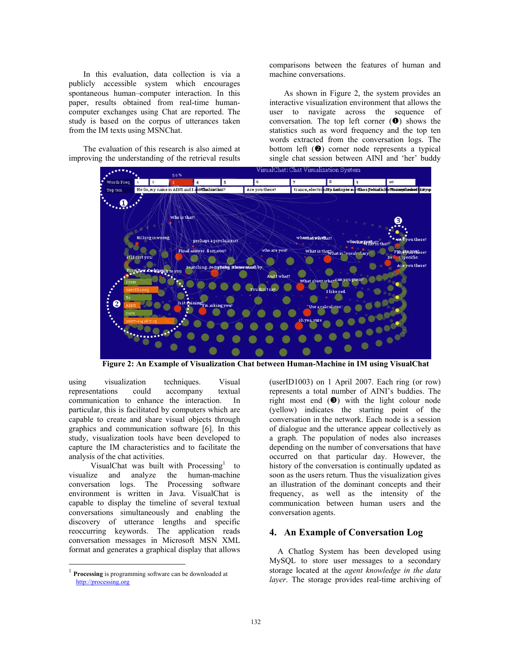In this evaluation, data collection is via a publicly accessible system which encourages spontaneous human–computer interaction. In this paper, results obtained from real-time humancomputer exchanges using Chat are reported. The study is based on the corpus of utterances taken from the IM texts using MSNChat.

The evaluation of this research is also aimed at improving the understanding of the retrieval results

comparisons between the features of human and machine conversations.

As shown in Figure 2, the system provides an interactive visualization environment that allows the user to navigate across the sequence of conversation. The top left corner  $(\bullet)$  shows the statistics such as word frequency and the top ten words extracted from the conversation logs. The bottom left  $(\bullet)$  corner node represents a typical single chat session between AINI and 'her' buddy



**Figure 2: An Example of Visualization Chat between Human-Machine in IM using VisualChat** 

using visualization techniques. Visual representations could accompany textual communication to enhance the interaction. In particular, this is facilitated by computers which are capable to create and share visual objects through graphics and communication software [6]. In this study, visualization tools have been developed to capture the IM characteristics and to facilitate the analysis of the chat activities.

VisualChat was built with Processing<sup>1</sup> to visualize and analyze the human-machine conversation logs. The Processing software environment is written in Java. VisualChat is capable to display the timeline of several textual conversations simultaneously and enabling the discovery of utterance lengths and specific reoccurring keywords. The application reads conversation messages in Microsoft MSN XML format and generates a graphical display that allows

(userID1003) on 1 April 2007. Each ring (or row) represents a total number of AINI's buddies. The right most end  $(\odot)$  with the light colour node (yellow) indicates the starting point of the conversation in the network. Each node is a session of dialogue and the utterance appear collectively as a graph. The population of nodes also increases depending on the number of conversations that have occurred on that particular day. However, the history of the conversation is continually updated as soon as the users return. Thus the visualization gives an illustration of the dominant concepts and their frequency, as well as the intensity of the communication between human users and the conversation agents.

## **4. An Example of Conversation Log**

 A Chatlog System has been developed using MySQL to store user messages to a secondary storage located at the *agent knowledge in the data layer*. The storage provides real-time archiving of

<sup>1</sup> **Processing** is programming software can be downloaded at http://processing.org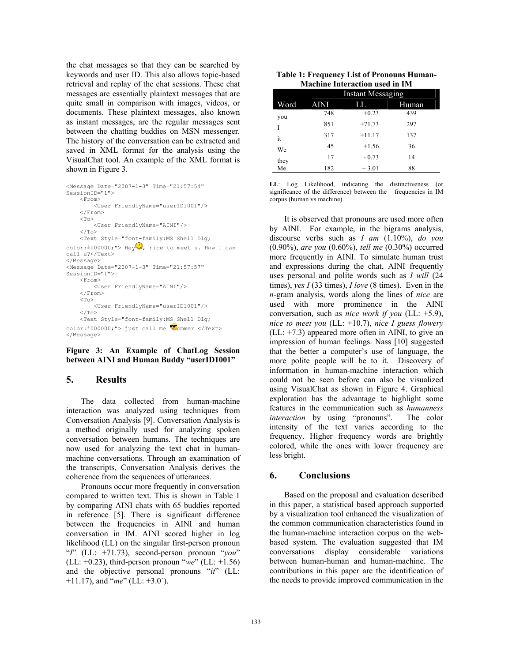the chat messages so that they can be searched by keywords and user ID. This also allows topic-based retrieval and replay of the chat sessions. These chat messages are essentially plaintext messages that are quite small in comparison with images, videos, or documents. These plaintext messages, also known as instant messages, are the regular messages sent between the chatting buddies on MSN messenger. The history of the conversation can be extracted and saved in XML format for the analysis using the VisualChat tool. An example of the XML format is shown in Figure 3.

```
<Message Date="2007-1-3" Time="21:57:54" 
SessionID="1"> 
    <From> <User FriendlyName="userID1001"/> 
     </From> 
    <To> <User FriendlyName="AINI"/> 
    \langle/To\rangle <Text Style="font-family:MS Shell Dlg; 
color:#000000;"> Hey , nice to meet u. How I can
call u?</Text>
</Message> 
<Message Date="2007-1-3" Time="21:57:57" 
SessionID="1"> 
    <From> <User FriendlyName="AINI"/> 
     </From> 
    <To> <User FriendlyName="userID1001"/> 
    \langle/To> <Text Style="font-family:MS Shell Dlg; 
color: #0000000; "> just call me \bullet ommer </Text>
</Message>
```
**Figure 3: An Example of ChatLog Session between AINI and Human Buddy "userID1001"**

## **5. Results**

The data collected from human-machine interaction was analyzed using techniques from Conversation Analysis [9]. Conversation Analysis is a method originally used for analyzing spoken conversation between humans. The techniques are now used for analyzing the text chat in humanmachine conversations. Through an examination of the transcripts, Conversation Analysis derives the coherence from the sequences of utterances.

Pronouns occur more frequently in conversation compared to written text. This is shown in Table 1 by comparing AINI chats with 65 buddies reported in reference [5]. There is significant difference between the frequencies in AINI and human conversation in IM. AINI scored higher in log likelihood (LL) on the singular first-person pronoun "*I*" (LL: +71.73), second-person pronoun "*you*" (LL: +0.23), third-person pronoun "*we*" (LL: +1.56) and the objective personal pronouns "*it*" (LL: +11.17), and "*me*" (LL: +3.0`).

| <b>Table 1: Frequency List of Pronouns Human-</b> |
|---------------------------------------------------|
| <b>Machine Interaction used in IM</b>             |

|      | <b>Instant Messaging</b> |          |       |
|------|--------------------------|----------|-------|
| Word | <b>AINI</b>              | LL       | Human |
| you  | 748                      | $+0.23$  | 439   |
|      | 851                      | $+71.73$ | 297   |
| it   | 317                      | $+11.17$ | 137   |
| We   | 45                       | $+1.56$  | 36    |
| they | 17                       | $-0.73$  | 14    |
| Me   | 182                      | $+3.01$  | 88    |

**LL**: Log Likelihood, indicating the distinctiveness (or significance of the difference) between the frequencies in IM corpus (human vs machine).

It is observed that pronouns are used more often by AINI. For example, in the bigrams analysis, discourse verbs such as *I am* (1.10%), *do you* (0.90%), *are you* (0.60%), *tell me* (0.30%) occurred more frequently in AINI. To simulate human trust and expressions during the chat, AINI frequently uses personal and polite words such as *I will* (24 times), *yes I* (33 times), *I love* (8 times). Even in the *n*-gram analysis, words along the lines of *nice* are used with more prominence in the AINI conversation, such as *nice work if you* (LL: +5.9), *nice to meet you* (LL: +10.7), *nice I guess flowery* (LL: +7.3) appeared more often in AINI, to give an impression of human feelings. Nass [10] suggested that the better a computer's use of language, the more polite people will be to it. Discovery of information in human-machine interaction which could not be seen before can also be visualized using VisualChat as shown in Figure 4. Graphical exploration has the advantage to highlight some features in the communication such as *humanness interaction* by using "pronouns". The color intensity of the text varies according to the frequency. Higher frequency words are brightly colored, while the ones with lower frequency are less bright.

#### **6. Conclusions**

Based on the proposal and evaluation described in this paper, a statistical based approach supported by a visualization tool enhanced the visualization of the common communication characteristics found in the human-machine interaction corpus on the webbased system. The evaluation suggested that IM conversations display considerable variations between human-human and human-machine. The contributions in this paper are the identification of the needs to provide improved communication in the